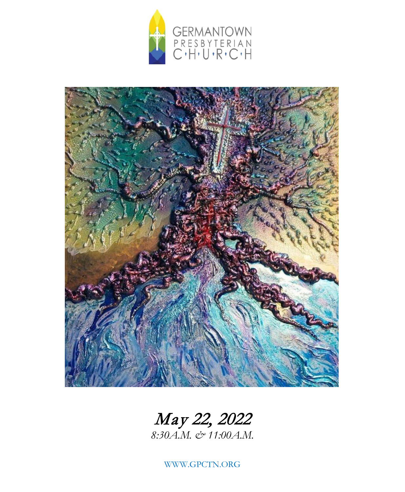





*8:30A.M. & 11:00A.M.*

WWW.GPCTN.ORG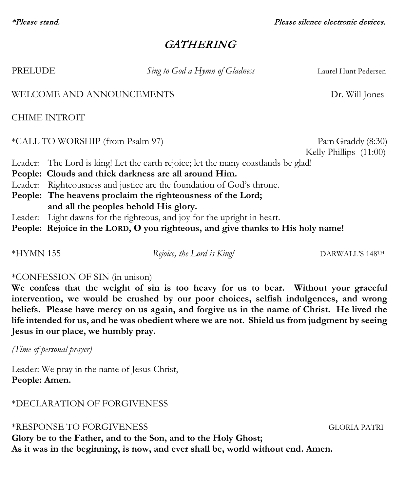\*Please stand. Please silence electronic devices.

# **GATHERING**

PRELUDE *Sing to God a Hymn of Gladness* Laurel Hunt Pedersen

WELCOME AND ANNOUNCEMENTS **Dr.** Will Jones

CHIME INTROIT

\*CALL TO WORSHIP (from Psalm 97) Pam Graddy (8:30)

Kelly Phillips (11:00)

Leader: The Lord is king! Let the earth rejoice; let the many coastlands be glad!

**People: Clouds and thick darkness are all around Him.** 

Leader: Righteousness and justice are the foundation of God's throne.

**People: The heavens proclaim the righteousness of the Lord; and all the peoples behold His glory.** 

Leader: Light dawns for the righteous, and joy for the upright in heart.

**People: Rejoice in the LORD, O you righteous, and give thanks to His holy name!**

\*HYMN 155 *Rejoice, the Lord is King!* DARWALL'S 148TH

### \*CONFESSION OF SIN (in unison)

**We confess that the weight of sin is too heavy for us to bear. Without your graceful intervention, we would be crushed by our poor choices, selfish indulgences, and wrong beliefs. Please have mercy on us again, and forgive us in the name of Christ. He lived the life intended for us, and he was obedient where we are not. Shield us from judgment by seeing Jesus in our place, we humbly pray.** 

*(Time of personal prayer)*

Leader: We pray in the name of Jesus Christ, **People: Amen.**

### \*DECLARATION OF FORGIVENESS

\*RESPONSE TO FORGIVENESS GLORIA PATRI

**Glory be to the Father, and to the Son, and to the Holy Ghost; As it was in the beginning, is now, and ever shall be, world without end. Amen.**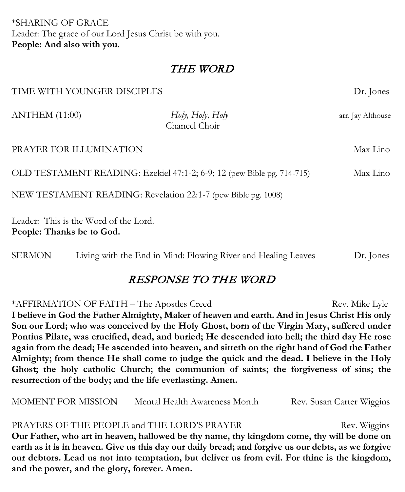\*SHARING OF GRACE Leader: The grace of our Lord Jesus Christ be with you. **People: And also with you.**

### THE WORD

| <b>ANTHEM (11:00)</b>                                                  | Holy, Holy, Holy                                              | arr. Jay Althouse |
|------------------------------------------------------------------------|---------------------------------------------------------------|-------------------|
| PRAYER FOR ILLUMINATION                                                | Chancel Choir                                                 | Max Lino          |
| OLD TESTAMENT READING: Ezekiel 47:1-2; 6-9; 12 (pew Bible pg. 714-715) |                                                               | Max Lino          |
|                                                                        | NEW TESTAMENT READING: Revelation 22:1-7 (pew Bible pg. 1008) |                   |

Leader: This is the Word of the Lord.

**People: Thanks be to God.**

SERMON Living with the End in Mind: Flowing River and Healing Leaves Dr. Jones

# RESPONSE TO THE WORD

\*AFFIRMATION OF FAITH – The Apostles Creed Rev. Mike Lyle **I believe in God the Father Almighty, Maker of heaven and earth. And in Jesus Christ His only Son our Lord; who was conceived by the Holy Ghost, born of the Virgin Mary, suffered under Pontius Pilate, was crucified, dead, and buried; He descended into hell; the third day He rose again from the dead; He ascended into heaven, and sitteth on the right hand of God the Father Almighty; from thence He shall come to judge the quick and the dead. I believe in the Holy Ghost; the holy catholic Church; the communion of saints; the forgiveness of sins; the resurrection of the body; and the life everlasting. Amen.**

MOMENT FOR MISSION Mental Health Awareness Month Rev. Susan Carter Wiggins

PRAYERS OF THE PEOPLE and THE LORD'S PRAYER Rev. Wiggins

**Our Father, who art in heaven, hallowed be thy name, thy kingdom come, thy will be done on earth as it is in heaven. Give us this day our daily bread; and forgive us our debts, as we forgive our debtors. Lead us not into temptation, but deliver us from evil. For thine is the kingdom, and the power, and the glory, forever. Amen.** 

TIME WITH YOUNGER DISCIPLES DR. Jones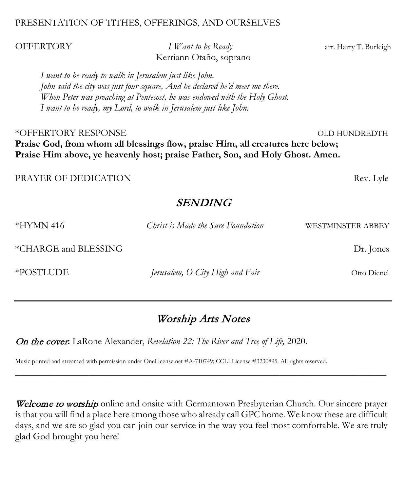### PRESENTATION OF TITHES, OFFERINGS, AND OURSELVES

OFFERTORY *I Want to be Ready* arr. Harry T. Burleigh Kerriann Otaño, soprano

*I want to be ready to walk in Jerusalem just like John. John said the city was just four-square, And he declared he'd meet me there. When Peter was preaching at Pentecost, he was endowed with the Holy Ghost. I want to be ready, my Lord, to walk in Jerusalem just like John.*

\*OFFERTORY RESPONSE OLD HUNDREDTH **Praise God, from whom all blessings flow, praise Him, all creatures here below; Praise Him above, ye heavenly host; praise Father, Son, and Holy Ghost. Amen.**

PRAYER OF DEDICATION Rev. Lyle

### SENDING

| *HYMN 416            | <i>Christ is Made the Sure Foundation</i> | <b>WESTMINSTER ABBEY</b> |
|----------------------|-------------------------------------------|--------------------------|
| *CHARGE and BLESSING |                                           | Dr. Jones                |
| *POSTLUDE            | Jerusalem, O City High and Fair           | Otto Dienel              |

# Worship Arts Notes

On the cover**:** LaRone Alexander, *Revelation 22: The River and Tree of Life,* 2020.

Music printed and streamed with permission under OneLicense.net #A-710749; CCLI License #3230895. All rights reserved.

Welcome to worship online and onsite with Germantown Presbyterian Church. Our sincere prayer is that you will find a place here among those who already call GPC home. We know these are difficult days, and we are so glad you can join our service in the way you feel most comfortable. We are truly glad God brought you here!

 $\overline{\phantom{a}}$  , and the contract of the contract of the contract of the contract of the contract of the contract of the contract of the contract of the contract of the contract of the contract of the contract of the contrac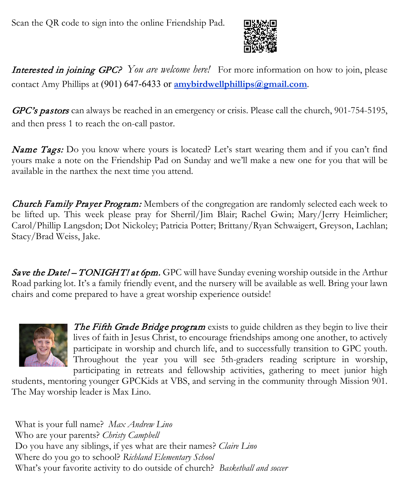Scan the QR code to sign into the online Friendship Pad.



Interested in joining GPC? *You are welcome here!* For more information on how to join, please contact Amy Phillips at (901) 647-6433 or **[amybirdwellphillips@gmail.com](mailto:amybirdwellphillips@gmail.com)**.

GPC's pastors can always be reached in an emergency or crisis. Please call the church, 901-754-5195, and then press 1 to reach the on-call pastor.

**Name Tags:** Do you know where yours is located? Let's start wearing them and if you can't find yours make a note on the Friendship Pad on Sunday and we'll make a new one for you that will be available in the narthex the next time you attend.

Church Family Prayer Program: Members of the congregation are randomly selected each week to be lifted up. This week please pray for Sherril/Jim Blair; Rachel Gwin; Mary/Jerry Heimlicher; Carol/Phillip Langsdon; Dot Nickoley; Patricia Potter; Brittany/Ryan Schwaigert, Greyson, Lachlan; Stacy/Brad Weiss, Jake.

Save the Date! - TONIGHT! at 6pm. GPC will have Sunday evening worship outside in the Arthur Road parking lot. It's a family friendly event, and the nursery will be available as well. Bring your lawn chairs and come prepared to have a great worship experience outside!



The Fifth Grade Bridge program exists to guide children as they begin to live their lives of faith in Jesus Christ, to encourage friendships among one another, to actively participate in worship and church life, and to successfully transition to GPC youth. Throughout the year you will see 5th-graders reading scripture in worship, participating in retreats and fellowship activities, gathering to meet junior high

students, mentoring younger GPCKids at VBS, and serving in the community through Mission 901. The May worship leader is Max Lino.

What is your full name? *Max Andrew Lino* Who are your parents? *Christy Campbell* Do you have any siblings, if yes what are their names? *Claire Lino* Where do you go to school? *Richland Elementary School* What's your favorite activity to do outside of church? *Basketball and soccer*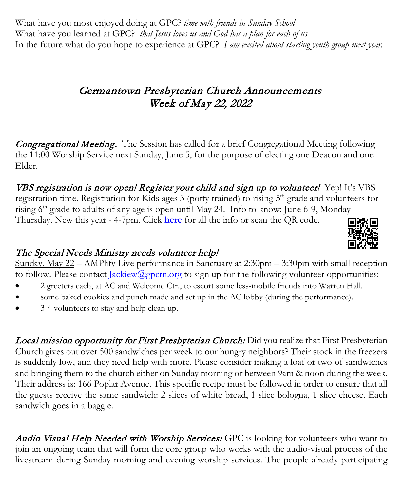What have you most enjoyed doing at GPC? *time with friends in Sunday School* What have you learned at GPC? *that Jesus loves us and God has a plan for each of us* In the future what do you hope to experience at GPC? *I am excited about starting youth group next year.*

# Germantown Presbyterian Church Announcements Week of May 22, 2022

**Congregational Meeting.** The Session has called for a brief Congregational Meeting following the 11:00 Worship Service next Sunday, June 5, for the purpose of electing one Deacon and one Elder.

VBS registration is now open! Register your child and sign up to volunteer! Yep! It's VBS registration time. Registration for Kids ages 3 (potty trained) to rising 5<sup>th</sup> grade and volunteers for rising  $6<sup>th</sup>$  grade to adults of any age is open until May 24. Info to know: June 6-9, Monday -

Thursday. New this year - 4-7pm. Click **[here](https://germantownpres.org/vbs/)** for all the info or scan the QR code.



# The Special Needs Ministry needs volunteer help!

Sunday, May 22 – AMPlify Live performance in Sanctuary at 2:30pm – 3:30pm with small reception to follow. Please contact *Jackiew@gpctn.org* to sign up for the following volunteer opportunities:

- 2 greeters each, at AC and Welcome Ctr., to escort some less-mobile friends into Warren Hall.
- some baked cookies and punch made and set up in the AC lobby (during the performance).
- 3-4 volunteers to stay and help clean up.

Local mission opportunity for First Presbyterian Church: Did you realize that First Presbyterian Church gives out over 500 sandwiches per week to our hungry neighbors? Their stock in the freezers is suddenly low, and they need help with more. Please consider making a loaf or two of sandwiches and bringing them to the church either on Sunday morning or between 9am & noon during the week. Their address is: 166 Poplar Avenue. This specific recipe must be followed in order to ensure that all the guests receive the same sandwich: 2 slices of white bread, 1 slice bologna, 1 slice cheese. Each sandwich goes in a baggie.

Audio Visual Help Needed with Worship Services: GPC is looking for volunteers who want to join an ongoing team that will form the core group who works with the audio-visual process of the livestream during Sunday morning and evening worship services. The people already participating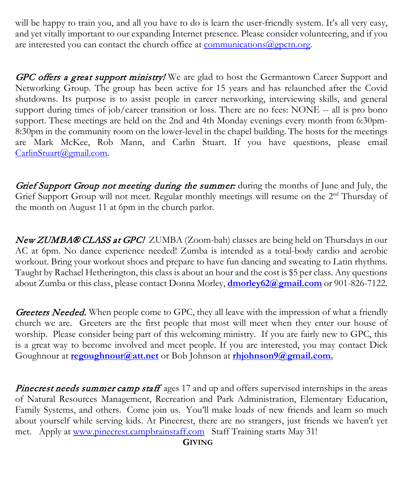will be happy to train you, and all you have to do is learn the user-friendly system. It's all very easy, and yet vitally important to our expanding Internet presence. Please consider volunteering, and if you are interested you can contact the church office at <u>communications@gpctn.org</u>.

GPC offers a great support ministry! We are glad to host the Germantown Career Support and Networking Group. The group has been active for 15 years and has relaunched after the Covid shutdowns. Its purpose is to assist people in career networking, interviewing skills, and general support during times of job/career transition or loss. There are no fees: NONE -- all is pro bono support. These meetings are held on the 2nd and 4th Monday evenings every month from 6:30pm-8:30pm in the community room on the lower-level in the chapel building. The hosts for the meetings are Mark McKee, Rob Mann, and Carlin Stuart. If you have questions, please email [CarlinStuart@gmail.com.](mailto:CarlinStuart@gmail.com)

Grief Support Group not meeting during the summer: during the months of June and July, the Grief Support Group will not meet. Regular monthly meetings will resume on the 2<sup>nd</sup> Thursday of the month on August 11 at 6pm in the church parlor.

New ZUMBA® CLASS at GPC! ZUMBA (Zoom-bah) classes are being held on Thursdays in our AC at 6pm. No dance experience needed! Zumba is intended as a total-body cardio and aerobic workout. Bring your workout shoes and prepare to have fun dancing and sweating to Latin rhythms. Taught by Rachael Hetherington, this class is about an hour and the cost is \$5 per class. Any questions about Zumba or this class, please contact Donna Morley, **[dmorley62@gmail.com](mailto:dmorley62@gmail.com)** or 901-826-7122.

**Greeters Needed.** When people come to GPC, they all leave with the impression of what a friendly church we are. Greeters are the first people that most will meet when they enter our house of worship. Please consider being part of this welcoming ministry. If you are fairly new to GPC, this is a great way to become involved and meet people. If you are interested, you may contact Dick Goughnour at **[regoughnour@att.net](mailto:regoughnour@att.net)** or Bob Johnson at **[rhjohnson9@gmail.com.](mailto:rhjohnson9@gmail.com)**

Pinecrest needs summer camp staff ages 17 and up and offers supervised internships in the areas of Natural Resources Management, Recreation and Park Administration, Elementary Education, Family Systems, and others. Come join us. You'll make loads of new friends and learn so much about yourself while serving kids. At Pinecrest, there are no strangers, just friends we haven't yet met. Apply at [www.pinecrest.campbrainstaff.com](http://www.pinecrest.campbrainstaff.com/) Staff Training starts May 31!